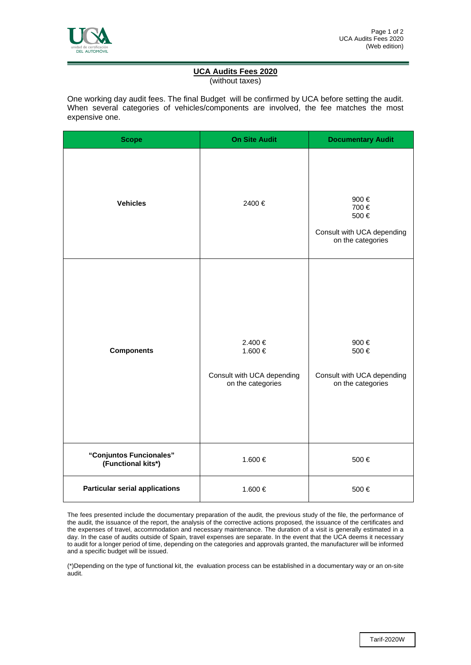

## **UCA Audits Fees 2020**

(without taxes)

One working day audit fees. The final Budget will be confirmed by UCA before setting the audit. When several categories of vehicles/components are involved, the fee matches the most expensive one.

| <b>Scope</b>                                  | <b>On Site Audit</b>                                                  | <b>Documentary Audit</b>                                                |
|-----------------------------------------------|-----------------------------------------------------------------------|-------------------------------------------------------------------------|
| <b>Vehicles</b>                               | 2400€                                                                 | 900€<br>700€<br>500€<br>Consult with UCA depending<br>on the categories |
| <b>Components</b>                             | 2.400 €<br>1.600 €<br>Consult with UCA depending<br>on the categories | 900€<br>500€<br>Consult with UCA depending<br>on the categories         |
| "Conjuntos Funcionales"<br>(Functional kits*) | 1.600 €                                                               | 500€                                                                    |
| <b>Particular serial applications</b>         | 1.600 €                                                               | 500€                                                                    |

The fees presented include the documentary preparation of the audit, the previous study of the file, the performance of the audit, the issuance of the report, the analysis of the corrective actions proposed, the issuance of the certificates and the expenses of travel, accommodation and necessary maintenance. The duration of a visit is generally estimated in a day. In the case of audits outside of Spain, travel expenses are separate. In the event that the UCA deems it necessary to audit for a longer period of time, depending on the categories and approvals granted, the manufacturer will be informed and a specific budget will be issued.

(\*)Depending on the type of functional kit, the evaluation process can be established in a documentary way or an on-site audit.